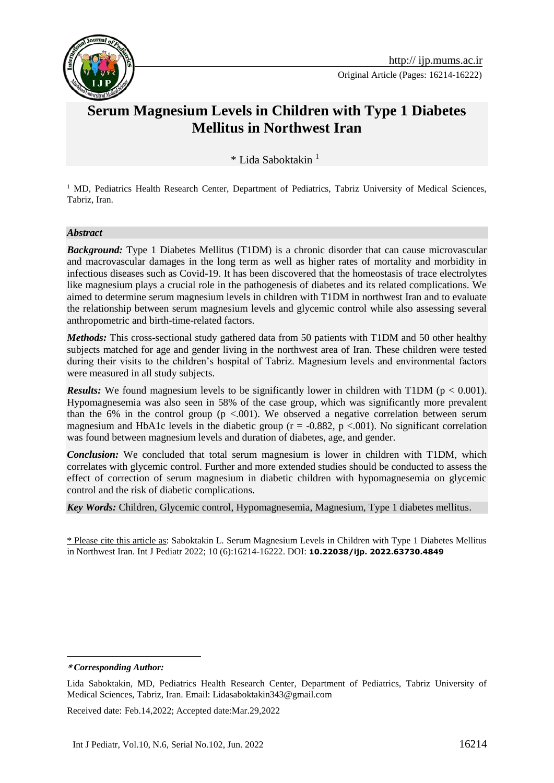

Original Article (Pages: 16214-16222)

# **Serum Magnesium Levels in Children with Type 1 Diabetes Mellitus in Northwest Iran**

\* Lida Saboktakin <sup>1</sup>**<sup>1</sup>**

<sup>1</sup> MD, Pediatrics Health Research Center, Department of Pediatrics, Tabriz University of Medical Sciences, Tabriz, Iran.

#### *Abstract*

*Background:* Type 1 Diabetes Mellitus (T1DM) is a chronic disorder that can cause microvascular and macrovascular damages in the long term as well as higher rates of mortality and morbidity in infectious diseases such as Covid-19. It has been discovered that the homeostasis of trace electrolytes like magnesium plays a crucial role in the pathogenesis of diabetes and its related complications. We aimed to determine serum magnesium levels in children with T1DM in northwest Iran and to evaluate the relationship between serum magnesium levels and glycemic control while also assessing several anthropometric and birth-time-related factors.

*Methods:* This cross-sectional study gathered data from 50 patients with T1DM and 50 other healthy subjects matched for age and gender living in the northwest area of Iran. These children were tested during their visits to the children's hospital of Tabriz. Magnesium levels and environmental factors were measured in all study subjects.

*Results:* We found magnesium levels to be significantly lower in children with T1DM ( $p < 0.001$ ). Hypomagnesemia was also seen in 58% of the case group, which was significantly more prevalent than the 6% in the control group  $(p < .001)$ . We observed a negative correlation between serum magnesium and HbA1c levels in the diabetic group ( $r = -0.882$ ,  $p < .001$ ). No significant correlation was found between magnesium levels and duration of diabetes, age, and gender.

*Conclusion:* We concluded that total serum magnesium is lower in children with T1DM, which correlates with glycemic control. Further and more extended studies should be conducted to assess the effect of correction of serum magnesium in diabetic children with hypomagnesemia on glycemic control and the risk of diabetic complications.

*Key Words:* Children, Glycemic control, Hypomagnesemia, Magnesium, Type 1 diabetes mellitus.

\* Please cite this article as: Saboktakin L. Serum Magnesium Levels in Children with Type 1 Diabetes Mellitus in Northwest Iran. Int J Pediatr 2022; 10 (6):16214-16222. DOI: **10.22038/ijp. 2022.63730.4849**

1

Received date: Feb.14,2022; Accepted date:Mar.29,2022

**<sup>\*</sup>** *Corresponding Author:*

Lida Saboktakin, MD, Pediatrics Health Research Center, Department of Pediatrics, Tabriz University of Medical Sciences, Tabriz, Iran. Email: Lidasaboktakin343@gmail.com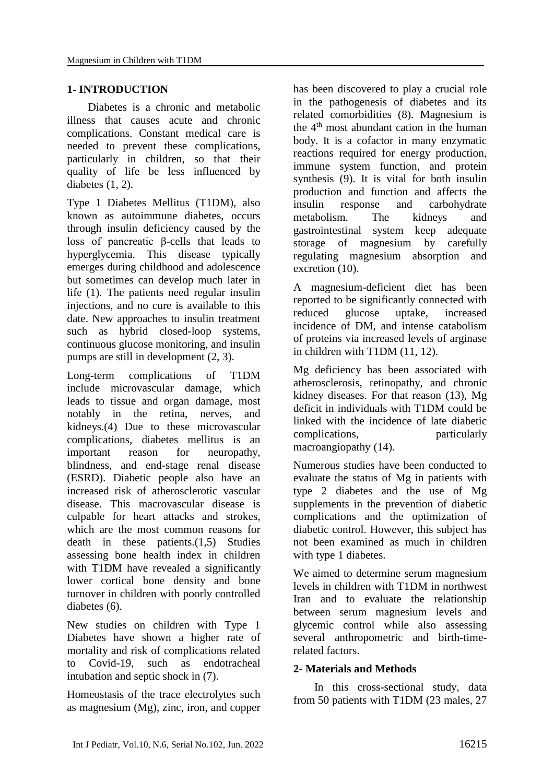# **1- INTRODUCTION**

Diabetes is a chronic and metabolic illness that causes acute and chronic complications. Constant medical care is needed to prevent these complications, particularly in children, so that their quality of life be less influenced by diabetes (1, 2).

Type 1 Diabetes Mellitus (T1DM), also known as autoimmune diabetes, occurs through insulin deficiency caused by the loss of pancreatic β-cells that leads to hyperglycemia. This disease typically emerges during childhood and adolescence but sometimes can develop much later in life (1). The patients need regular insulin injections, and no cure is available to this date. New approaches to insulin treatment such as hybrid closed-loop systems, continuous glucose monitoring, and insulin pumps are still in development (2, 3).

Long-term complications of T1DM include microvascular damage, which leads to tissue and organ damage, most notably in the retina, nerves, and kidneys.(4) Due to these microvascular complications, diabetes mellitus is an important reason for neuropathy, blindness, and end-stage renal disease (ESRD). Diabetic people also have an increased risk of atherosclerotic vascular disease. This macrovascular disease is culpable for heart attacks and strokes, which are the most common reasons for death in these patients.(1,5) Studies assessing bone health index in children with T1DM have revealed a significantly lower cortical bone density and bone turnover in children with poorly controlled diabetes (6).

New studies on children with Type 1 Diabetes have shown a higher rate of mortality and risk of complications related to Covid-19, such as endotracheal intubation and septic shock in (7).

Homeostasis of the trace electrolytes such as magnesium (Mg), zinc, iron, and copper

has been discovered to play a crucial role in the pathogenesis of diabetes and its related comorbidities (8). Magnesium is the  $4<sup>th</sup>$  most abundant cation in the human body. It is a cofactor in many enzymatic reactions required for energy production, immune system function, and protein synthesis (9). It is vital for both insulin production and function and affects the insulin response and carbohydrate metabolism. The kidneys and gastrointestinal system keep adequate storage of magnesium by carefully regulating magnesium absorption and excretion (10).

A magnesium-deficient diet has been reported to be significantly connected with reduced glucose uptake, increased incidence of DM, and intense catabolism of proteins via increased levels of arginase in children with T1DM (11, 12).

Mg deficiency has been associated with atherosclerosis, retinopathy, and chronic kidney diseases. For that reason (13), Mg deficit in individuals with T1DM could be linked with the incidence of late diabetic complications, particularly macroangiopathy (14).

Numerous studies have been conducted to evaluate the status of Mg in patients with type 2 diabetes and the use of Mg supplements in the prevention of diabetic complications and the optimization of diabetic control. However, this subject has not been examined as much in children with type 1 diabetes.

We aimed to determine serum magnesium levels in children with T1DM in northwest Iran and to evaluate the relationship between serum magnesium levels and glycemic control while also assessing several anthropometric and birth-timerelated factors.

## **2- Materials and Methods**

In this cross-sectional study, data from 50 patients with T1DM (23 males, 27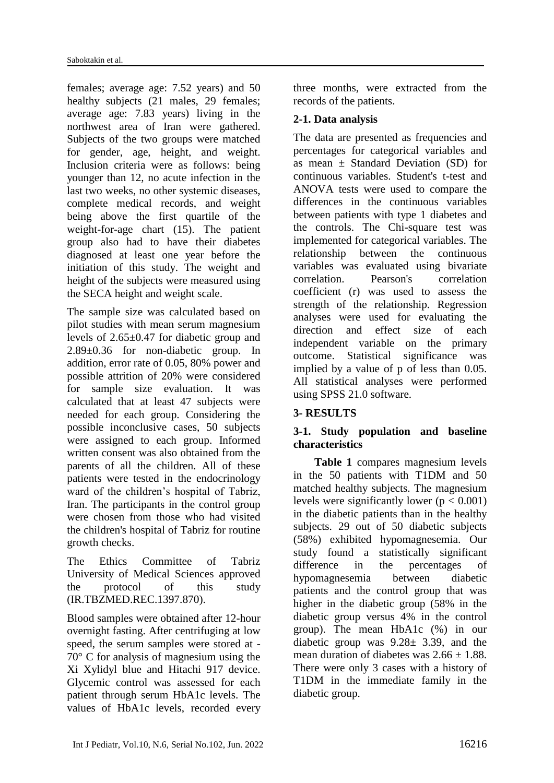females; average age: 7.52 years) and 50 healthy subjects (21 males, 29 females; average age: 7.83 years) living in the northwest area of Iran were gathered. Subjects of the two groups were matched for gender, age, height, and weight. Inclusion criteria were as follows: being younger than 12, no acute infection in the last two weeks, no other systemic diseases, complete medical records, and weight being above the first quartile of the weight-for-age chart (15). The patient group also had to have their diabetes diagnosed at least one year before the initiation of this study. The weight and height of the subjects were measured using the SECA height and weight scale.

The sample size was calculated based on pilot studies with mean serum magnesium levels of 2.65±0.47 for diabetic group and 2.89±0.36 for non-diabetic group. In addition, error rate of 0.05, 80% power and possible attrition of 20% were considered for sample size evaluation. It was calculated that at least 47 subjects were needed for each group. Considering the possible inconclusive cases, 50 subjects were assigned to each group. Informed written consent was also obtained from the parents of all the children. All of these patients were tested in the endocrinology ward of the children's hospital of Tabriz, Iran. The participants in the control group were chosen from those who had visited the children's hospital of Tabriz for routine growth checks.

The Ethics Committee of Tabriz University of Medical Sciences approved the protocol of this study (IR.TBZMED.REC.1397.870).

Blood samples were obtained after 12-hour overnight fasting. After centrifuging at low speed, the serum samples were stored at - 70° C for analysis of magnesium using the Xi Xylidyl blue and Hitachi 917 device. Glycemic control was assessed for each patient through serum HbA1c levels. The values of HbA1c levels, recorded every three months, were extracted from the records of the patients.

# **2-1. Data analysis**

The data are presented as frequencies and percentages for categorical variables and as mean  $\pm$  Standard Deviation (SD) for continuous variables. Student's t-test and ANOVA tests were used to compare the differences in the continuous variables between patients with type 1 diabetes and the controls. The Chi-square test was implemented for categorical variables. The relationship between the continuous variables was evaluated using bivariate correlation. Pearson's correlation coefficient (r) was used to assess the strength of the relationship. Regression analyses were used for evaluating the direction and effect size of each independent variable on the primary outcome. Statistical significance was implied by a value of p of less than 0.05. All statistical analyses were performed using SPSS 21.0 software.

# **3- RESULTS**

# **3-1. Study population and baseline characteristics**

**Table 1** compares magnesium levels in the 50 patients with T1DM and 50 matched healthy subjects. The magnesium levels were significantly lower  $(p < 0.001)$ in the diabetic patients than in the healthy subjects. 29 out of 50 diabetic subjects (58%) exhibited hypomagnesemia. Our study found a statistically significant difference in the percentages of hypomagnesemia between diabetic patients and the control group that was higher in the diabetic group (58% in the diabetic group versus 4% in the control group). The mean HbA1c (%) in our diabetic group was  $9.28 \pm 3.39$ , and the mean duration of diabetes was  $2.66 \pm 1.88$ . There were only 3 cases with a history of T1DM in the immediate family in the diabetic group.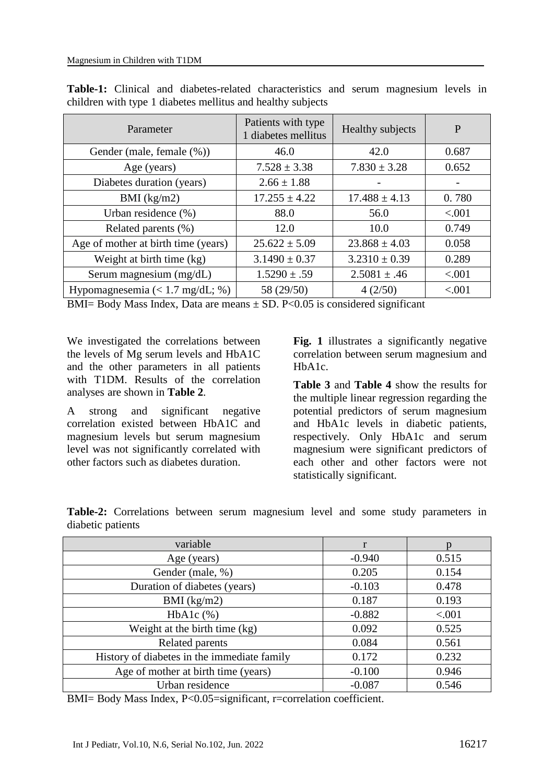| Parameter                           | Patients with type<br>1 diabetes mellitus | Healthy subjects  | P      |
|-------------------------------------|-------------------------------------------|-------------------|--------|
| Gender (male, female (%))           | 46.0                                      | 42.0              | 0.687  |
| Age (years)                         | $7.528 \pm 3.38$                          | $7.830 \pm 3.28$  | 0.652  |
| Diabetes duration (years)           | $2.66 \pm 1.88$                           |                   |        |
| BMI $(kg/m2)$                       | $17.255 \pm 4.22$                         | $17.488 \pm 4.13$ | 0.780  |
| Urban residence (%)                 | 88.0                                      | 56.0              | < .001 |
| Related parents (%)                 | 12.0                                      | 10.0              | 0.749  |
| Age of mother at birth time (years) | $25.622 \pm 5.09$                         | $23.868 \pm 4.03$ | 0.058  |
| Weight at birth time (kg)           | $3.1490 \pm 0.37$                         | $3.2310 \pm 0.39$ | 0.289  |
| Serum magnesium (mg/dL)             | $1.5290 \pm .59$                          | $2.5081 \pm .46$  | < .001 |
| Hypomagnesemia $(< 1.7$ mg/dL; %)   | 58 (29/50)                                | 4(2/50)           | < .001 |

**Table-1:** Clinical and diabetes-related characteristics and serum magnesium levels in children with type 1 diabetes mellitus and healthy subjects

BMI= Body Mass Index, Data are means  $\pm$  SD. P<0.05 is considered significant

We investigated the correlations between the levels of Mg serum levels and HbA1C and the other parameters in all patients with T1DM. Results of the correlation analyses are shown in **Table 2**.

A strong and significant negative correlation existed between HbA1C and magnesium levels but serum magnesium level was not significantly correlated with other factors such as diabetes duration.

**Fig. 1** illustrates a significantly negative correlation between serum magnesium and HbA1c.

**Table 3** and **Table 4** show the results for the multiple linear regression regarding the potential predictors of serum magnesium and HbA1c levels in diabetic patients, respectively. Only HbA1c and serum magnesium were significant predictors of each other and other factors were not statistically significant.

| variable                                    | r        |        |
|---------------------------------------------|----------|--------|
| Age (years)                                 | $-0.940$ | 0.515  |
| Gender (male, %)                            | 0.205    | 0.154  |
| Duration of diabetes (years)                | $-0.103$ | 0.478  |
| BMI $(kg/m2)$                               | 0.187    | 0.193  |
| $HbA1c$ $%$ )                               | $-0.882$ | < .001 |
| Weight at the birth time (kg)               | 0.092    | 0.525  |
| Related parents                             | 0.084    | 0.561  |
| History of diabetes in the immediate family | 0.172    | 0.232  |
| Age of mother at birth time (years)         | $-0.100$ | 0.946  |
| Urban residence                             | $-0.087$ | 0.546  |

**Table-2:** Correlations between serum magnesium level and some study parameters in diabetic patients

BMI= Body Mass Index, P<0.05=significant, r=correlation coefficient.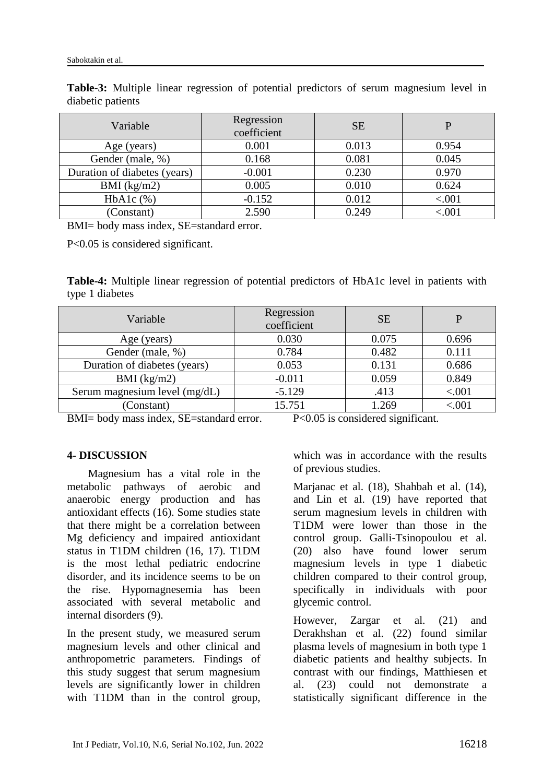| Variable                     | Regression<br>coefficient | <b>SE</b> |        |
|------------------------------|---------------------------|-----------|--------|
| Age (years)                  | 0.001                     | 0.013     | 0.954  |
| Gender (male, %)             | 0.168                     | 0.081     | 0.045  |
| Duration of diabetes (years) | $-0.001$                  | 0.230     | 0.970  |
| BMI $(kg/m2)$                | 0.005                     | 0.010     | 0.624  |
| $HbA1c$ $%$                  | $-0.152$                  | 0.012     | < .001 |
| (Constant)                   | 2.590                     | 0.249     | < 001  |

**Table-3:** Multiple linear regression of potential predictors of serum magnesium level in diabetic patients

BMI= body mass index, SE=standard error.

P<0.05 is considered significant.

**Table-4:** Multiple linear regression of potential predictors of HbA1c level in patients with type 1 diabetes

| Variable                      | Regression<br>coefficient | <b>SE</b> | P        |
|-------------------------------|---------------------------|-----------|----------|
| Age (years)                   | 0.030                     | 0.075     | 0.696    |
| Gender (male, %)              | 0.784                     | 0.482     | 0.111    |
| Duration of diabetes (years)  | 0.053                     | 0.131     | 0.686    |
| BMI $(kg/m2)$                 | $-0.011$                  | 0.059     | 0.849    |
| Serum magnesium level (mg/dL) | $-5.129$                  | .413      | ${<}001$ |
| (Constant)                    | 15.751                    | 1.269     | < 001    |

BMI= body mass index, SE=standard error. P<0.05 is considered significant.

# **4- DISCUSSION**

Magnesium has a vital role in the metabolic pathways of aerobic and anaerobic energy production and has antioxidant effects (16). Some studies state that there might be a correlation between Mg deficiency and impaired antioxidant status in T1DM children (16, 17). T1DM is the most lethal pediatric endocrine disorder, and its incidence seems to be on the rise. Hypomagnesemia has been associated with several metabolic and internal disorders (9).

In the present study, we measured serum magnesium levels and other clinical and anthropometric parameters. Findings of this study suggest that serum magnesium levels are significantly lower in children with T1DM than in the control group,

which was in accordance with the results of previous studies.

Marjanac et al. (18), Shahbah et al. (14), and Lin et al. (19) have reported that serum magnesium levels in children with T1DM were lower than those in the control group. Galli-Tsinopoulou et al. (20) also have found lower serum magnesium levels in type 1 diabetic children compared to their control group, specifically in individuals with poor glycemic control.

However, Zargar et al. (21) and Derakhshan et al. (22) found similar plasma levels of magnesium in both type 1 diabetic patients and healthy subjects. In contrast with our findings, Matthiesen et al. (23) could not demonstrate a statistically significant difference in the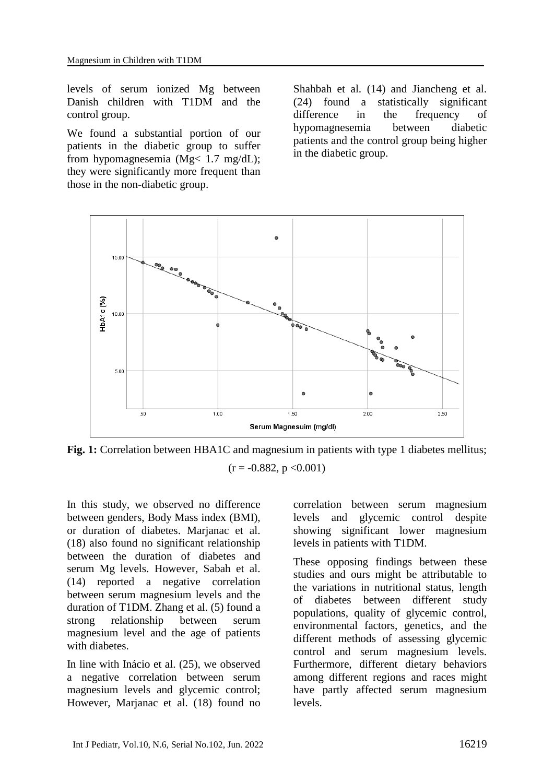levels of serum ionized Mg between Danish children with T1DM and the control group.

We found a substantial portion of our patients in the diabetic group to suffer from hypomagnesemia ( $Mg < 1.7$  mg/dL); they were significantly more frequent than those in the non-diabetic group.

Shahbah et al. (14) and Jiancheng et al. (24) found a statistically significant difference in the frequency of hypomagnesemia between diabetic patients and the control group being higher in the diabetic group.



Fig. 1: Correlation between HBA1C and magnesium in patients with type 1 diabetes mellitus;  $(r = -0.882, p < 0.001)$ 

In this study, we observed no difference between genders, Body Mass index (BMI), or duration of diabetes. Marjanac et al. (18) also found no significant relationship between the duration of diabetes and serum Mg levels. However, Sabah et al. (14) reported a negative correlation between serum magnesium levels and the duration of T1DM. Zhang et al. (5) found a strong relationship between serum magnesium level and the age of patients with diabetes.

In line with Inácio et al. (25), we observed a negative correlation between serum magnesium levels and glycemic control; However, Marjanac et al. (18) found no correlation between serum magnesium levels and glycemic control despite showing significant lower magnesium levels in patients with T1DM.

These opposing findings between these studies and ours might be attributable to the variations in nutritional status, length of diabetes between different study populations, quality of glycemic control, environmental factors, genetics, and the different methods of assessing glycemic control and serum magnesium levels. Furthermore, different dietary behaviors among different regions and races might have partly affected serum magnesium levels.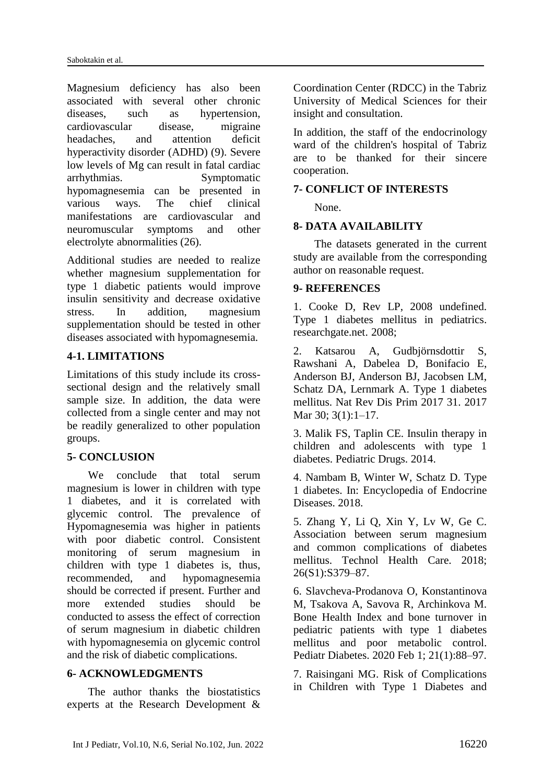Magnesium deficiency has also been associated with several other chronic diseases, such as hypertension, cardiovascular disease, migraine headaches, and attention deficit hyperactivity disorder (ADHD) (9). Severe low levels of Mg can result in fatal cardiac arrhythmias. Symptomatic hypomagnesemia can be presented in various ways. The chief clinical manifestations are cardiovascular and neuromuscular symptoms and other electrolyte abnormalities (26).

Additional studies are needed to realize whether magnesium supplementation for type 1 diabetic patients would improve insulin sensitivity and decrease oxidative stress. In addition, magnesium supplementation should be tested in other diseases associated with hypomagnesemia.

# **4-1. LIMITATIONS**

Limitations of this study include its crosssectional design and the relatively small sample size. In addition, the data were collected from a single center and may not be readily generalized to other population groups.

## **5- CONCLUSION**

We conclude that total serum magnesium is lower in children with type 1 diabetes, and it is correlated with glycemic control. The prevalence of Hypomagnesemia was higher in patients with poor diabetic control. Consistent monitoring of serum magnesium in children with type 1 diabetes is, thus, recommended, and hypomagnesemia should be corrected if present. Further and more extended studies should be conducted to assess the effect of correction of serum magnesium in diabetic children with hypomagnesemia on glycemic control and the risk of diabetic complications.

## **6- ACKNOWLEDGMENTS**

The author thanks the biostatistics experts at the Research Development &

Coordination Center (RDCC) in the Tabriz University of Medical Sciences for their insight and consultation.

In addition, the staff of the endocrinology ward of the children's hospital of Tabriz are to be thanked for their sincere cooperation.

## **7- CONFLICT OF INTERESTS**

None.

# **8- DATA AVAILABILITY**

The datasets generated in the current study are available from the corresponding author on reasonable request.

## **9- REFERENCES**

1. Cooke D, Rev LP, 2008 undefined. Type 1 diabetes mellitus in pediatrics. researchgate.net. 2008;

2. Katsarou A, Gudbjörnsdottir S, Rawshani A, Dabelea D, Bonifacio E, Anderson BJ, Anderson BJ, Jacobsen LM, Schatz DA, Lernmark A. Type 1 diabetes mellitus. Nat Rev Dis Prim 2017 31. 2017 Mar 30; 3(1):1–17.

3. Malik FS, Taplin CE. Insulin therapy in children and adolescents with type 1 diabetes. Pediatric Drugs. 2014.

4. Nambam B, Winter W, Schatz D. Type 1 diabetes. In: Encyclopedia of Endocrine Diseases. 2018.

5. Zhang Y, Li Q, Xin Y, Lv W, Ge C. Association between serum magnesium and common complications of diabetes mellitus. Technol Health Care. 2018; 26(S1):S379–87.

6. Slavcheva-Prodanova O, Konstantinova M, Tsakova A, Savova R, Archinkova M. Bone Health Index and bone turnover in pediatric patients with type 1 diabetes mellitus and poor metabolic control. Pediatr Diabetes. 2020 Feb 1; 21(1):88–97.

7. Raisingani MG. Risk of Complications in Children with Type 1 Diabetes and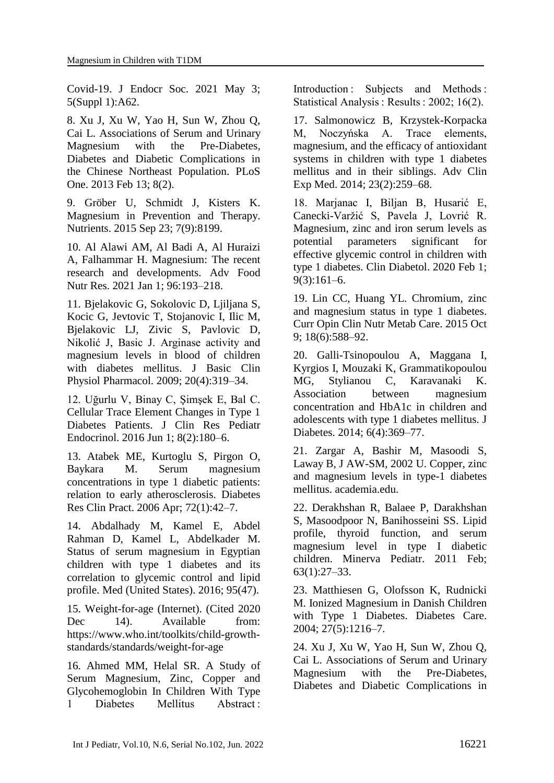Covid-19. J Endocr Soc. 2021 May 3; 5(Suppl 1):A62.

8. Xu J, Xu W, Yao H, Sun W, Zhou Q, Cai L. Associations of Serum and Urinary Magnesium with the Pre-Diabetes, Diabetes and Diabetic Complications in the Chinese Northeast Population. PLoS One. 2013 Feb 13; 8(2).

9. Gröber U, Schmidt J, Kisters K. Magnesium in Prevention and Therapy. Nutrients. 2015 Sep 23; 7(9):8199.

10. Al Alawi AM, Al Badi A, Al Huraizi A, Falhammar H. Magnesium: The recent research and developments. Adv Food Nutr Res. 2021 Jan 1; 96:193–218.

11. Bjelakovic G, Sokolovic D, Ljiljana S, Kocic G, Jevtovic T, Stojanovic I, Ilic M, Bjelakovic LJ, Zivic S, Pavlovic D, Nikolić J, Basic J. Arginase activity and magnesium levels in blood of children with diabetes mellitus. J Basic Clin Physiol Pharmacol. 2009; 20(4):319–34.

12. Uğurlu V, Binay C, Şimşek E, Bal C. Cellular Trace Element Changes in Type 1 Diabetes Patients. J Clin Res Pediatr Endocrinol. 2016 Jun 1; 8(2):180–6.

13. Atabek ME, Kurtoglu S, Pirgon O, Baykara M. Serum magnesium concentrations in type 1 diabetic patients: relation to early atherosclerosis. Diabetes Res Clin Pract. 2006 Apr; 72(1):42–7.

14. Abdalhady M, Kamel E, Abdel Rahman D, Kamel L, Abdelkader M. Status of serum magnesium in Egyptian children with type 1 diabetes and its correlation to glycemic control and lipid profile. Med (United States). 2016; 95(47).

15. Weight-for-age (Internet). (Cited 2020 Dec 14). Available from: https://www.who.int/toolkits/child-growthstandards/standards/weight-for-age

16. Ahmed MM, Helal SR. A Study of Serum Magnesium, Zinc, Copper and Glycohemoglobin In Children With Type 1 Diabetes Mellitus Abstract:

Introduction : Subjects and Methods : Statistical Analysis : Results : 2002; 16(2).

17. Salmonowicz B, Krzystek-Korpacka M, Noczyńska A. Trace elements, magnesium, and the efficacy of antioxidant systems in children with type 1 diabetes mellitus and in their siblings. Adv Clin Exp Med. 2014; 23(2):259–68.

18. Marjanac I, Biljan B, Husarić E, Canecki-Varžić S, Pavela J, Lovrić R. Magnesium, zinc and iron serum levels as potential parameters significant for effective glycemic control in children with type 1 diabetes. Clin Diabetol. 2020 Feb 1; 9(3):161–6.

19. Lin CC, Huang YL. Chromium, zinc and magnesium status in type 1 diabetes. Curr Opin Clin Nutr Metab Care. 2015 Oct 9; 18(6):588–92.

20. Galli-Tsinopoulou A, Maggana I, Kyrgios I, Mouzaki K, Grammatikopoulou MG, Stylianou C, Karavanaki K. Association between magnesium concentration and HbA1c in children and adolescents with type 1 diabetes mellitus. J Diabetes. 2014; 6(4):369–77.

21. Zargar A, Bashir M, Masoodi S, Laway B, J AW-SM, 2002 U. Copper, zinc and magnesium levels in type-1 diabetes mellitus. academia.edu.

22. Derakhshan R, Balaee P, Darakhshan S, Masoodpoor N, Banihosseini SS. Lipid profile, thyroid function, and serum magnesium level in type I diabetic children. Minerva Pediatr. 2011 Feb; 63(1):27–33.

23. Matthiesen G, Olofsson K, Rudnicki M. Ionized Magnesium in Danish Children with Type 1 Diabetes. Diabetes Care. 2004; 27(5):1216–7.

24. Xu J, Xu W, Yao H, Sun W, Zhou Q, Cai L. Associations of Serum and Urinary Magnesium with the Pre-Diabetes, Diabetes and Diabetic Complications in